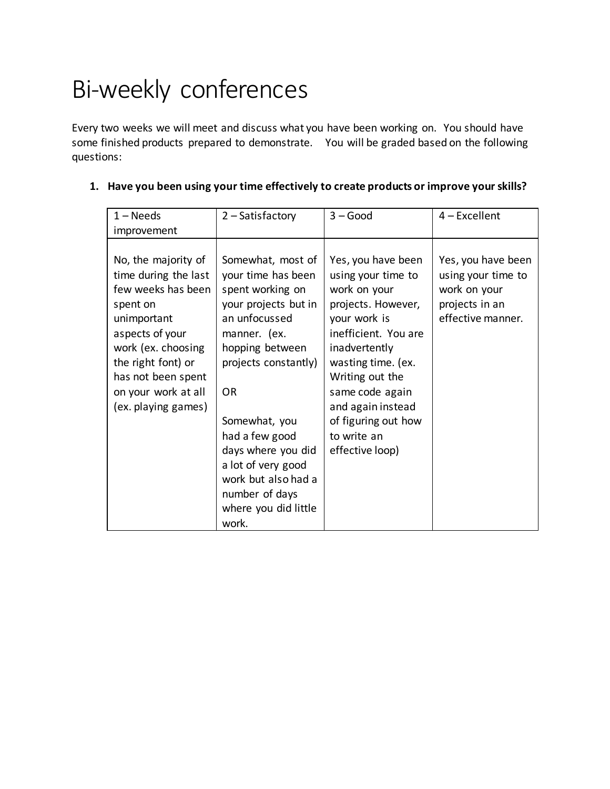## Bi-weekly conferences

Every two weeks we will meet and discuss what you have been working on. You should have some finished products prepared to demonstrate. You will be graded based on the following questions:

| $1 - Needs$<br>improvement                                                                                                                                                                                                      | $2 - Satisfactory$                                                                                                                                                                                                                                                                                                                    | $3 - Good$                                                                                                                                                                                                                                                                        | $4$ – Excellent                                                                                 |
|---------------------------------------------------------------------------------------------------------------------------------------------------------------------------------------------------------------------------------|---------------------------------------------------------------------------------------------------------------------------------------------------------------------------------------------------------------------------------------------------------------------------------------------------------------------------------------|-----------------------------------------------------------------------------------------------------------------------------------------------------------------------------------------------------------------------------------------------------------------------------------|-------------------------------------------------------------------------------------------------|
| No, the majority of<br>time during the last<br>few weeks has been<br>spent on<br>unimportant<br>aspects of your<br>work (ex. choosing<br>the right font) or<br>has not been spent<br>on your work at all<br>(ex. playing games) | Somewhat, most of<br>your time has been<br>spent working on<br>your projects but in<br>an unfocussed<br>manner. (ex.<br>hopping between<br>projects constantly)<br><b>OR</b><br>Somewhat, you<br>had a few good<br>days where you did<br>a lot of very good<br>work but also had a<br>number of days<br>where you did little<br>work. | Yes, you have been<br>using your time to<br>work on your<br>projects. However,<br>your work is<br>inefficient. You are<br>inadvertently<br>wasting time. (ex.<br>Writing out the<br>same code again<br>and again instead<br>of figuring out how<br>to write an<br>effective loop) | Yes, you have been<br>using your time to<br>work on your<br>projects in an<br>effective manner. |

| 1. Have you been using your time effectively to create products or improve your skills? |  |  |
|-----------------------------------------------------------------------------------------|--|--|
|                                                                                         |  |  |